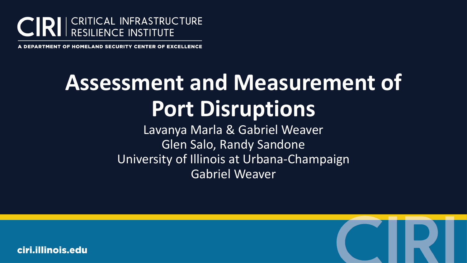

**DEPARTMENT OF HOMELAND SECURITY CENTER OF EXCELLENCE** 

# **Assessment and Measurement of Port Disruptions**

Lavanya Marla & Gabriel Weaver Glen Salo, Randy Sandone University of Illinois at Urbana-Champaign Gabriel Weaver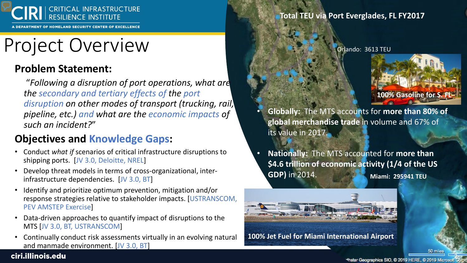

NT OF HOMELAND SECURITY CENTER OF EXCELLENCE

## Project Overview

### **Problem Statement:**

"*Following a disruption of port operations, what are the secondary and tertiary effects of the port disruption on other modes of transport (trucking, rail, pipeline, etc.) and what are the economic impacts of such an incident?*"

### **Objectives and Knowledge Gaps:**

- Conduct *what if* scenarios of critical infrastructure disruptions to shipping ports. [JV 3.0, Deloitte, NREL]
- Develop threat models in terms of cross-organizational, interinfrastructure dependencies. [JV 3.0, BT]
- Identify and prioritize optimum prevention, mitigation and/or response strategies relative to stakeholder impacts. [USTRANSCOM, PEV AMSTEP Exercise]
- Data-driven approaches to quantify impact of disruptions to the MTS [JV 3.0, BT, USTRANSCOM]
- Continually conduct risk assessments virtually in an evolving natural and manmade environment. [JV 3.0, BT]

### **Total TEU via Port Everglades, FL FY2017**

Orlando: 3613 TEU



- **Globally:** The MTS accounts for **more than 80% of global merchandise trade** in volume and 67% of its value in 2017.
- **Miami: 295941 TEU** • **Nationally:** The MTS accounted for **more than \$4.6 trillion of economic activity (1/4 of the US GDP)** in 2014.



**100% Jet Fuel for Miami International Airport**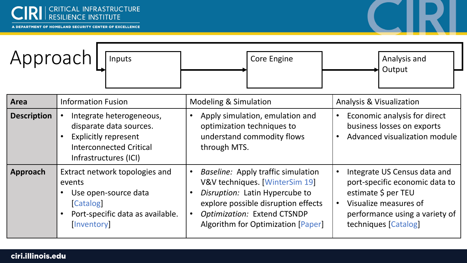

| Approach<br>Inputs |                                                                                                                                               | <b>Core Engine</b>                                                                                                                                                                                                                                               | Analysis and<br>Output                                                                                                                                                                             |
|--------------------|-----------------------------------------------------------------------------------------------------------------------------------------------|------------------------------------------------------------------------------------------------------------------------------------------------------------------------------------------------------------------------------------------------------------------|----------------------------------------------------------------------------------------------------------------------------------------------------------------------------------------------------|
| <b>Area</b>        | <b>Information Fusion</b>                                                                                                                     | <b>Modeling &amp; Simulation</b>                                                                                                                                                                                                                                 | <b>Analysis &amp; Visualization</b>                                                                                                                                                                |
| <b>Description</b> | Integrate heterogeneous,<br>disparate data sources.<br><b>Explicitly represent</b><br><b>Interconnected Critical</b><br>Infrastructures (ICI) | Apply simulation, emulation and<br>$\bullet$<br>optimization techniques to<br>understand commodity flows<br>through MTS.                                                                                                                                         | Economic analysis for direct<br>$\bullet$<br>business losses on exports<br>Advanced visualization module                                                                                           |
| <b>Approach</b>    | Extract network topologies and<br>events<br>Use open-source data<br><b>Catalog</b><br>Port-specific data as available.<br><i>[Inventory]</i>  | <i>Baseline:</i> Apply traffic simulation<br>$\bullet$<br>V&V techniques. [WinterSim 19]<br>Disruption: Latin Hypercube to<br>$\bullet$<br>explore possible disruption effects<br>Optimization: Extend CTSNDP<br>$\bullet$<br>Algorithm for Optimization [Paper] | Integrate US Census data and<br>$\bullet$<br>port-specific economic data to<br>estimate \$ per TEU<br>Visualize measures of<br>$\bullet$<br>performance using a variety of<br>techniques [Catalog] |

IRI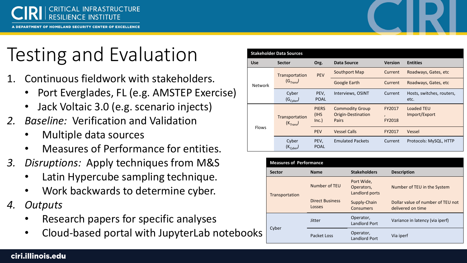

**IRTMENT OF HOMELAND SECURITY CENTER OF EXCELLENCE** 

# Testing and Evaluation

- 1. Continuous fieldwork with stakeholders.
	- Port Everglades, FL (e.g. AMSTEP Exercise)
	- Jack Voltaic 3.0 (e.g. scenario injects)
- *2. Baseline:* Verification and Validation
	- Multiple data sources
	- Measures of Performance for entities.
- *3. Disruptions:* Apply techniques from M&S
	- Latin Hypercube sampling technique.
	- Work backwards to determine cyber.
- *4. Outputs*
	- Research papers for specific analyses
	- Cloud-based portal with JupyterLab notebooks

| <b>Stakeholder Data Sources</b> |                                         |                                |                                                              |                  |                                   |
|---------------------------------|-----------------------------------------|--------------------------------|--------------------------------------------------------------|------------------|-----------------------------------|
| <b>Use</b>                      | <b>Sector</b>                           | Org.                           | Data Source                                                  | <b>Version</b>   | <b>Entities</b>                   |
| <b>Network</b>                  | Transportation<br>(G <sub>Trans</sub> ) | <b>PEV</b>                     | Southport Map                                                | Current          | Roadways, Gates, etc.             |
|                                 |                                         |                                | <b>Google Earth</b>                                          | Current          | Roadways, Gates, etc.             |
|                                 | Cyber<br>$(G_{Cvber})$                  | PEV,<br><b>POAL</b>            | Interviews, OSINT                                            | Current          | Hosts, switches, routers,<br>etc. |
| <b>Flows</b>                    | Transportation<br>(K <sub>Trans</sub> ) | <b>PIERS</b><br>(IHS)<br>Inc.) | <b>Commodity Group</b><br>Origin-Destination<br><b>Pairs</b> | FY2017<br>FY2018 | Loaded TEU<br>Import/Export       |
|                                 |                                         | <b>PEV</b>                     | <b>Vessel Calls</b>                                          | FY2017           | Vessel                            |
|                                 | Cyber<br>$(K_{Cyber})$                  | PEV,<br><b>POAL</b>            | <b>Emulated Packets</b>                                      | Current          | Protocols: MySQL, HTTP            |

| <b>Measures of Performance</b> |                                  |                                            |                                                        |
|--------------------------------|----------------------------------|--------------------------------------------|--------------------------------------------------------|
| <b>Sector</b>                  | <b>Name</b>                      | <b>Stakeholders</b>                        | <b>Description</b>                                     |
| Transportation                 | Number of TEU                    | Port Wide,<br>Operators,<br>Landlord ports | Number of TEU in the System                            |
|                                | <b>Direct Business</b><br>Losses | Supply-Chain<br>Consumers                  | Dollar value of number of TEU not<br>delivered on time |
| Cyber                          | Jitter                           | Operator,<br><b>Landlord Port</b>          | Variance in latency (via iperf)                        |
|                                | Packet Loss                      | Operator,<br><b>Landlord Port</b>          | Via iperf                                              |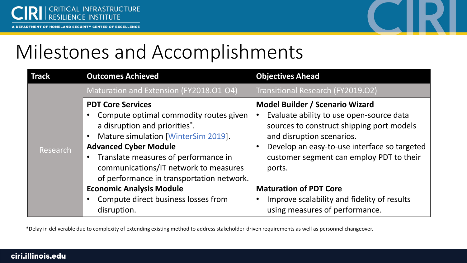



## Milestones and Accomplishments

| Track    | <b>Outcomes Achieved</b>                                                                                                                                                                                                                                                                                              | <b>Objectives Ahead</b>                                                                                                                                                                                                                                            |
|----------|-----------------------------------------------------------------------------------------------------------------------------------------------------------------------------------------------------------------------------------------------------------------------------------------------------------------------|--------------------------------------------------------------------------------------------------------------------------------------------------------------------------------------------------------------------------------------------------------------------|
|          | Maturation and Extension (FY2018.01-04)                                                                                                                                                                                                                                                                               | Transitional Research (FY2019.02)                                                                                                                                                                                                                                  |
| Research | <b>PDT Core Services</b><br>Compute optimal commodity routes given<br>a disruption and priorities*.<br>Mature simulation [WinterSim 2019].<br>$\bullet$<br><b>Advanced Cyber Module</b><br>Translate measures of performance in<br>communications/IT network to measures<br>of performance in transportation network. | <b>Model Builder / Scenario Wizard</b><br>Evaluate ability to use open-source data<br>sources to construct shipping port models<br>and disruption scenarios.<br>Develop an easy-to-use interface so targeted<br>customer segment can employ PDT to their<br>ports. |
|          | <b>Economic Analysis Module</b>                                                                                                                                                                                                                                                                                       | <b>Maturation of PDT Core</b>                                                                                                                                                                                                                                      |
|          | Compute direct business losses from<br>disruption.                                                                                                                                                                                                                                                                    | Improve scalability and fidelity of results<br>using measures of performance.                                                                                                                                                                                      |

\*Delay in deliverable due to complexity of extending existing method to address stakeholder-driven requirements as well as personnel changeover.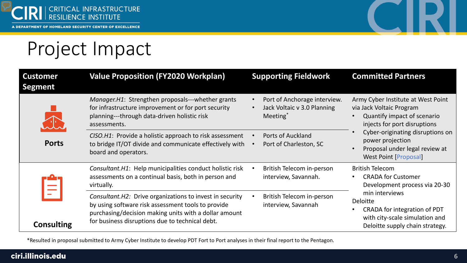

### Project Impact

| <b>Customer</b><br><b>Segment</b> | <b>Value Proposition (FY2020 Workplan)</b>                                                                                                                                                                                  | <b>Supporting Fieldwork</b>                                                         | <b>Committed Partners</b>                                                                                                                                                                                                                               |  |
|-----------------------------------|-----------------------------------------------------------------------------------------------------------------------------------------------------------------------------------------------------------------------------|-------------------------------------------------------------------------------------|---------------------------------------------------------------------------------------------------------------------------------------------------------------------------------------------------------------------------------------------------------|--|
|                                   | Manager.H1: Strengthen proposals---whether grants<br>for infrastructure improvement or for port security<br>planning---through data-driven holistic risk<br>assessments.                                                    | Port of Anchorage interview.<br>Jack Voltaic v 3.0 Planning<br>Meeting <sup>*</sup> | Army Cyber Institute at West Point<br>via Jack Voltaic Program<br>Quantify impact of scenario<br>injects for port disruptions<br>Cyber-originating disruptions on<br>power projection<br>Proposal under legal review at<br><b>West Point [Proposal]</b> |  |
| <b>Ports</b>                      | CISO.H1: Provide a holistic approach to risk assessment<br>to bridge IT/OT divide and communicate effectively with<br>board and operators.                                                                                  | Ports of Auckland<br>Port of Charleston, SC                                         |                                                                                                                                                                                                                                                         |  |
| <b>Consulting</b>                 | Consultant. H1: Help municipalities conduct holistic risk<br>assessments on a continual basis, both in person and<br>virtually.                                                                                             | British Telecom in-person<br>interview, Savannah.                                   | <b>British Telecom</b><br><b>CRADA for Customer</b><br>Development process via 20-30                                                                                                                                                                    |  |
|                                   | Consultant. H2: Drive organizations to invest in security<br>by using software risk assessment tools to provide<br>purchasing/decision making units with a dollar amount<br>for business disruptions due to technical debt. | British Telecom in-person<br>interview, Savannah                                    | min interviews<br><b>Deloitte</b><br>CRADA for integration of PDT<br>with city-scale simulation and<br>Deloitte supply chain strategy.                                                                                                                  |  |

\*Resulted in proposal submitted to Army Cyber Institute to develop PDT Fort to Port analyses in their final report to the Pentagon.